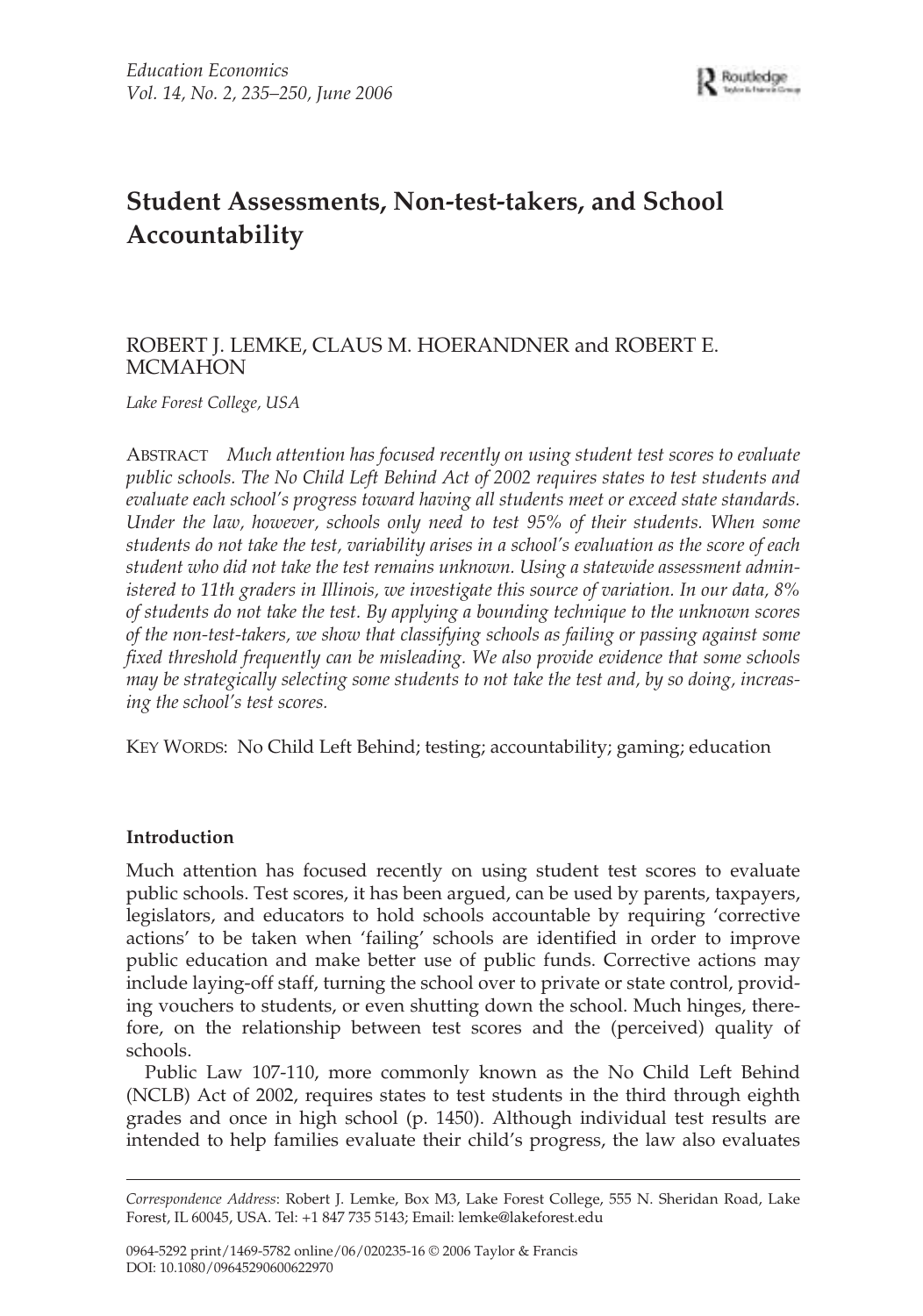# **Student Assessments, Non-test-takers, and School Accountability**

## ROBERT J. LEMKE, CLAUS M. HOERANDNER and ROBERT E. MCMAHON

*Lake Forest College, USA*

ABSTRACT *Much attention has focused recently on using student test scores to evaluate public schools. The No Child Left Behind Act of 2002 requires states to test students and evaluate each school's progress toward having all students meet or exceed state standards. Under the law, however, schools only need to test 95% of their students. When some students do not take the test, variability arises in a school's evaluation as the score of each student who did not take the test remains unknown. Using a statewide assessment administered to 11th graders in Illinois, we investigate this source of variation. In our data, 8% of students do not take the test. By applying a bounding technique to the unknown scores of the non-test-takers, we show that classifying schools as failing or passing against some fixed threshold frequently can be misleading. We also provide evidence that some schools may be strategically selecting some students to not take the test and, by so doing, increasing the school's test scores.*

KEY WORDS: No Child Left Behind; testing; accountability; gaming; education

## **Introduction**

Much attention has focused recently on using student test scores to evaluate public schools. Test scores, it has been argued, can be used by parents, taxpayers, legislators, and educators to hold schools accountable by requiring 'corrective actions' to be taken when 'failing' schools are identified in order to improve public education and make better use of public funds. Corrective actions may include laying-off staff, turning the school over to private or state control, providing vouchers to students, or even shutting down the school. Much hinges, therefore, on the relationship between test scores and the (perceived) quality of schools.

Public Law 107-110, more commonly known as the No Child Left Behind (NCLB) Act of 2002, requires states to test students in the third through eighth grades and once in high school (p. 1450). Although individual test results are intended to help families evaluate their child's progress, the law also evaluates

*Correspondence Address*: Robert J. Lemke, Box M3, Lake Forest College, 555 N. Sheridan Road, Lake Forest, IL 60045, USA. Tel: +1 847 735 5143; Email: lemke@lakeforest.edu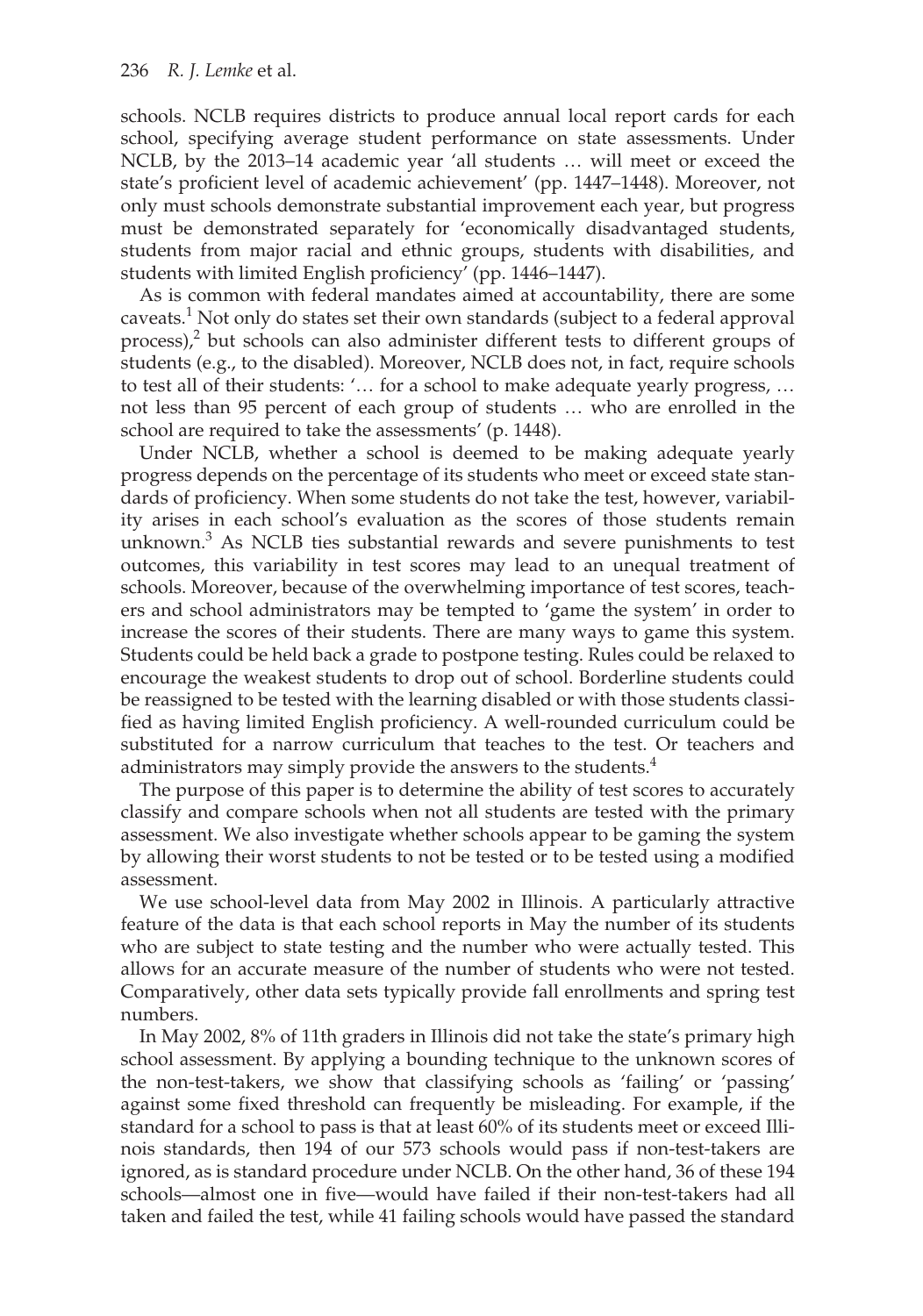schools. NCLB requires districts to produce annual local report cards for each school, specifying average student performance on state assessments. Under NCLB, by the 2013–14 academic year 'all students … will meet or exceed the state's proficient level of academic achievement' (pp. 1447–1448). Moreover, not only must schools demonstrate substantial improvement each year, but progress must be demonstrated separately for 'economically disadvantaged students, students from major racial and ethnic groups, students with disabilities, and students with limited English proficiency' (pp. 1446–1447).

As is common with federal mandates aimed at accountability, there are some caveats.<sup>1</sup> Not only do states set their own standards (subject to a federal approval process), $2$  but schools can also administer different tests to different groups of students (e.g., to the disabled). Moreover, NCLB does not, in fact, require schools to test all of their students: '… for a school to make adequate yearly progress, … not less than 95 percent of each group of students … who are enrolled in the school are required to take the assessments' (p. 1448).

Under NCLB, whether a school is deemed to be making adequate yearly progress depends on the percentage of its students who meet or exceed state standards of proficiency. When some students do not take the test, however, variability arises in each school's evaluation as the scores of those students remain unknown.3 As NCLB ties substantial rewards and severe punishments to test outcomes, this variability in test scores may lead to an unequal treatment of schools. Moreover, because of the overwhelming importance of test scores, teachers and school administrators may be tempted to 'game the system' in order to increase the scores of their students. There are many ways to game this system. Students could be held back a grade to postpone testing. Rules could be relaxed to encourage the weakest students to drop out of school. Borderline students could be reassigned to be tested with the learning disabled or with those students classified as having limited English proficiency. A well-rounded curriculum could be substituted for a narrow curriculum that teaches to the test. Or teachers and administrators may simply provide the answers to the students.<sup>4</sup>

The purpose of this paper is to determine the ability of test scores to accurately classify and compare schools when not all students are tested with the primary assessment. We also investigate whether schools appear to be gaming the system by allowing their worst students to not be tested or to be tested using a modified assessment.

We use school-level data from May 2002 in Illinois. A particularly attractive feature of the data is that each school reports in May the number of its students who are subject to state testing and the number who were actually tested. This allows for an accurate measure of the number of students who were not tested. Comparatively, other data sets typically provide fall enrollments and spring test numbers.

In May 2002, 8% of 11th graders in Illinois did not take the state's primary high school assessment. By applying a bounding technique to the unknown scores of the non-test-takers, we show that classifying schools as 'failing' or 'passing' against some fixed threshold can frequently be misleading. For example, if the standard for a school to pass is that at least 60% of its students meet or exceed Illinois standards, then 194 of our 573 schools would pass if non-test-takers are ignored, as is standard procedure under NCLB. On the other hand, 36 of these 194 schools—almost one in five—would have failed if their non-test-takers had all taken and failed the test, while 41 failing schools would have passed the standard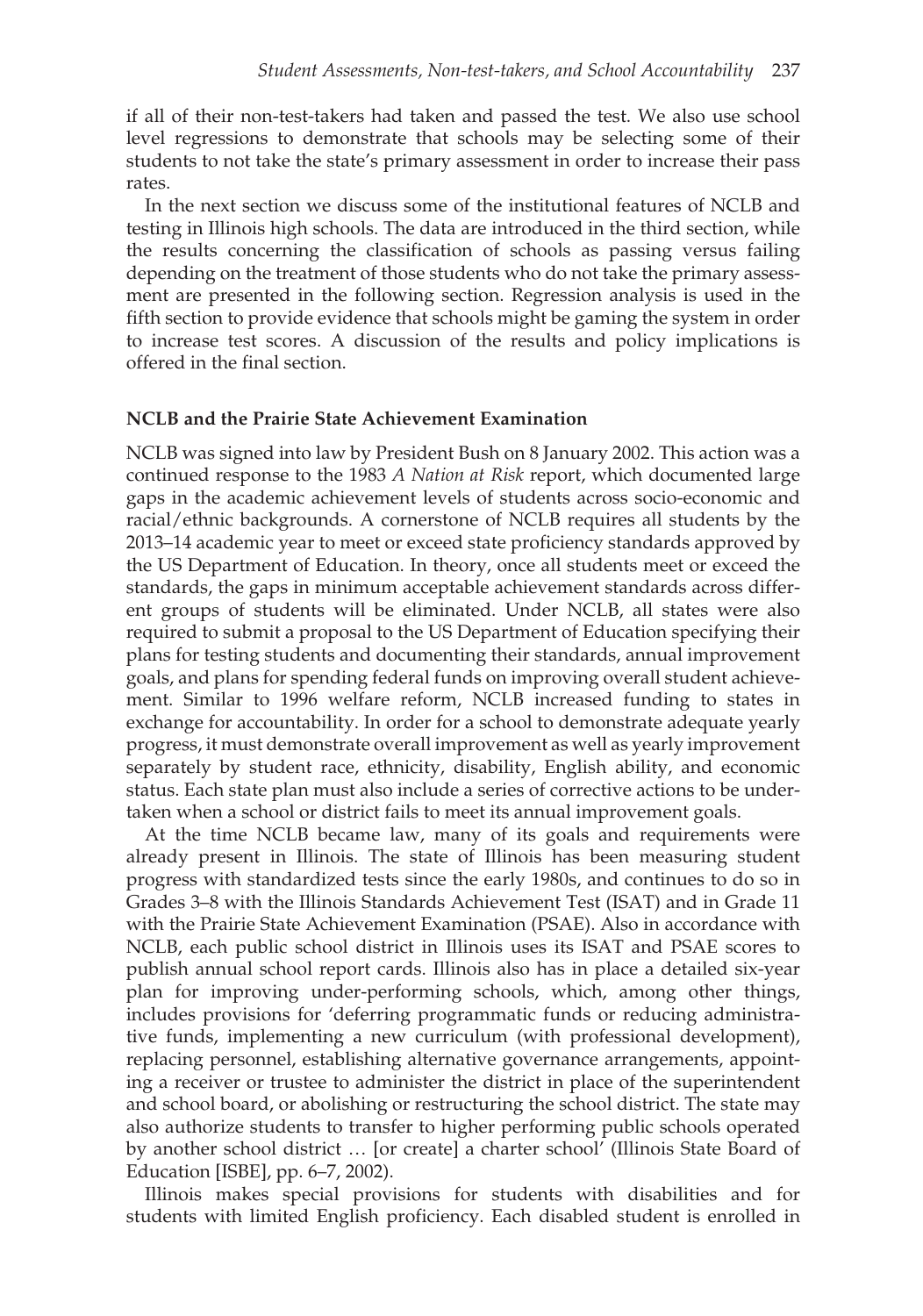if all of their non-test-takers had taken and passed the test. We also use school level regressions to demonstrate that schools may be selecting some of their students to not take the state's primary assessment in order to increase their pass rates.

In the next section we discuss some of the institutional features of NCLB and testing in Illinois high schools. The data are introduced in the third section, while the results concerning the classification of schools as passing versus failing depending on the treatment of those students who do not take the primary assessment are presented in the following section. Regression analysis is used in the fifth section to provide evidence that schools might be gaming the system in order to increase test scores. A discussion of the results and policy implications is offered in the final section.

#### **NCLB and the Prairie State Achievement Examination**

NCLB was signed into law by President Bush on 8 January 2002. This action was a continued response to the 1983 *A Nation at Risk* report, which documented large gaps in the academic achievement levels of students across socio-economic and racial/ethnic backgrounds. A cornerstone of NCLB requires all students by the 2013–14 academic year to meet or exceed state proficiency standards approved by the US Department of Education. In theory, once all students meet or exceed the standards, the gaps in minimum acceptable achievement standards across different groups of students will be eliminated. Under NCLB, all states were also required to submit a proposal to the US Department of Education specifying their plans for testing students and documenting their standards, annual improvement goals, and plans for spending federal funds on improving overall student achievement. Similar to 1996 welfare reform, NCLB increased funding to states in exchange for accountability. In order for a school to demonstrate adequate yearly progress, it must demonstrate overall improvement as well as yearly improvement separately by student race, ethnicity, disability, English ability, and economic status. Each state plan must also include a series of corrective actions to be undertaken when a school or district fails to meet its annual improvement goals.

At the time NCLB became law, many of its goals and requirements were already present in Illinois. The state of Illinois has been measuring student progress with standardized tests since the early 1980s, and continues to do so in Grades 3–8 with the Illinois Standards Achievement Test (ISAT) and in Grade 11 with the Prairie State Achievement Examination (PSAE). Also in accordance with NCLB, each public school district in Illinois uses its ISAT and PSAE scores to publish annual school report cards. Illinois also has in place a detailed six-year plan for improving under-performing schools, which, among other things, includes provisions for 'deferring programmatic funds or reducing administrative funds, implementing a new curriculum (with professional development), replacing personnel, establishing alternative governance arrangements, appointing a receiver or trustee to administer the district in place of the superintendent and school board, or abolishing or restructuring the school district. The state may also authorize students to transfer to higher performing public schools operated by another school district … [or create] a charter school' (Illinois State Board of Education [ISBE], pp. 6–7, 2002).

Illinois makes special provisions for students with disabilities and for students with limited English proficiency. Each disabled student is enrolled in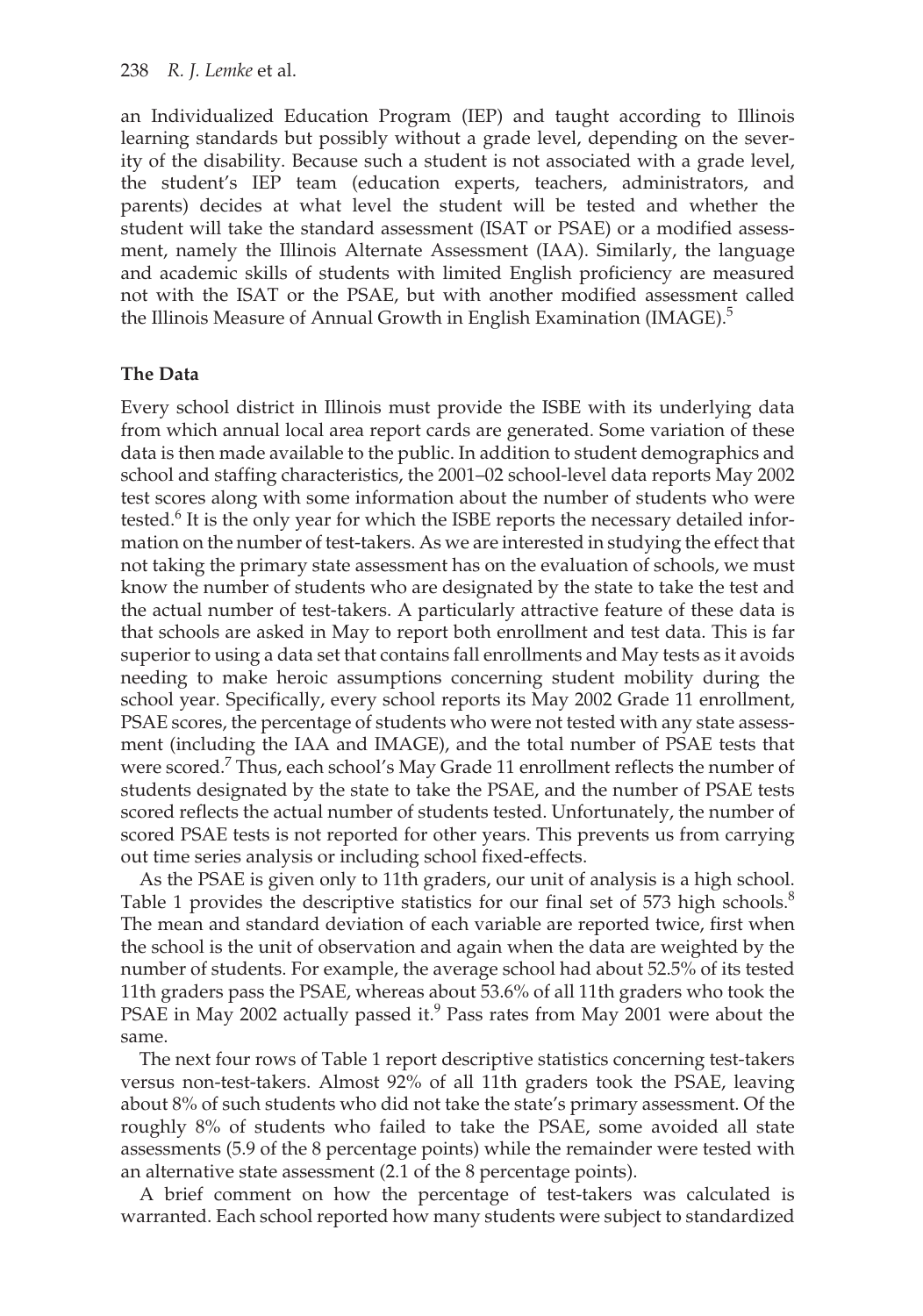an Individualized Education Program (IEP) and taught according to Illinois learning standards but possibly without a grade level, depending on the severity of the disability. Because such a student is not associated with a grade level, the student's IEP team (education experts, teachers, administrators, and parents) decides at what level the student will be tested and whether the student will take the standard assessment (ISAT or PSAE) or a modified assessment, namely the Illinois Alternate Assessment (IAA). Similarly, the language and academic skills of students with limited English proficiency are measured not with the ISAT or the PSAE, but with another modified assessment called the Illinois Measure of Annual Growth in English Examination (IMAGE).<sup>5</sup>

## **The Data**

Every school district in Illinois must provide the ISBE with its underlying data from which annual local area report cards are generated. Some variation of these data is then made available to the public. In addition to student demographics and school and staffing characteristics, the 2001–02 school-level data reports May 2002 test scores along with some information about the number of students who were tested.<sup>6</sup> It is the only year for which the ISBE reports the necessary detailed information on the number of test-takers. As we are interested in studying the effect that not taking the primary state assessment has on the evaluation of schools, we must know the number of students who are designated by the state to take the test and the actual number of test-takers. A particularly attractive feature of these data is that schools are asked in May to report both enrollment and test data. This is far superior to using a data set that contains fall enrollments and May tests as it avoids needing to make heroic assumptions concerning student mobility during the school year. Specifically, every school reports its May 2002 Grade 11 enrollment, PSAE scores, the percentage of students who were not tested with any state assessment (including the IAA and IMAGE), and the total number of PSAE tests that were scored.7 Thus, each school's May Grade 11 enrollment reflects the number of students designated by the state to take the PSAE, and the number of PSAE tests scored reflects the actual number of students tested. Unfortunately, the number of scored PSAE tests is not reported for other years. This prevents us from carrying out time series analysis or including school fixed-effects.

As the PSAE is given only to 11th graders, our unit of analysis is a high school. Table 1 provides the descriptive statistics for our final set of 573 high schools.<sup>8</sup> The mean and standard deviation of each variable are reported twice, first when the school is the unit of observation and again when the data are weighted by the number of students. For example, the average school had about 52.5% of its tested 11th graders pass the PSAE, whereas about 53.6% of all 11th graders who took the PSAE in May 2002 actually passed it.<sup>9</sup> Pass rates from May 2001 were about the same.

The next four rows of Table 1 report descriptive statistics concerning test-takers versus non-test-takers. Almost 92% of all 11th graders took the PSAE, leaving about 8% of such students who did not take the state's primary assessment. Of the roughly 8% of students who failed to take the PSAE, some avoided all state assessments (5.9 of the 8 percentage points) while the remainder were tested with an alternative state assessment (2.1 of the 8 percentage points).

A brief comment on how the percentage of test-takers was calculated is warranted. Each school reported how many students were subject to standardized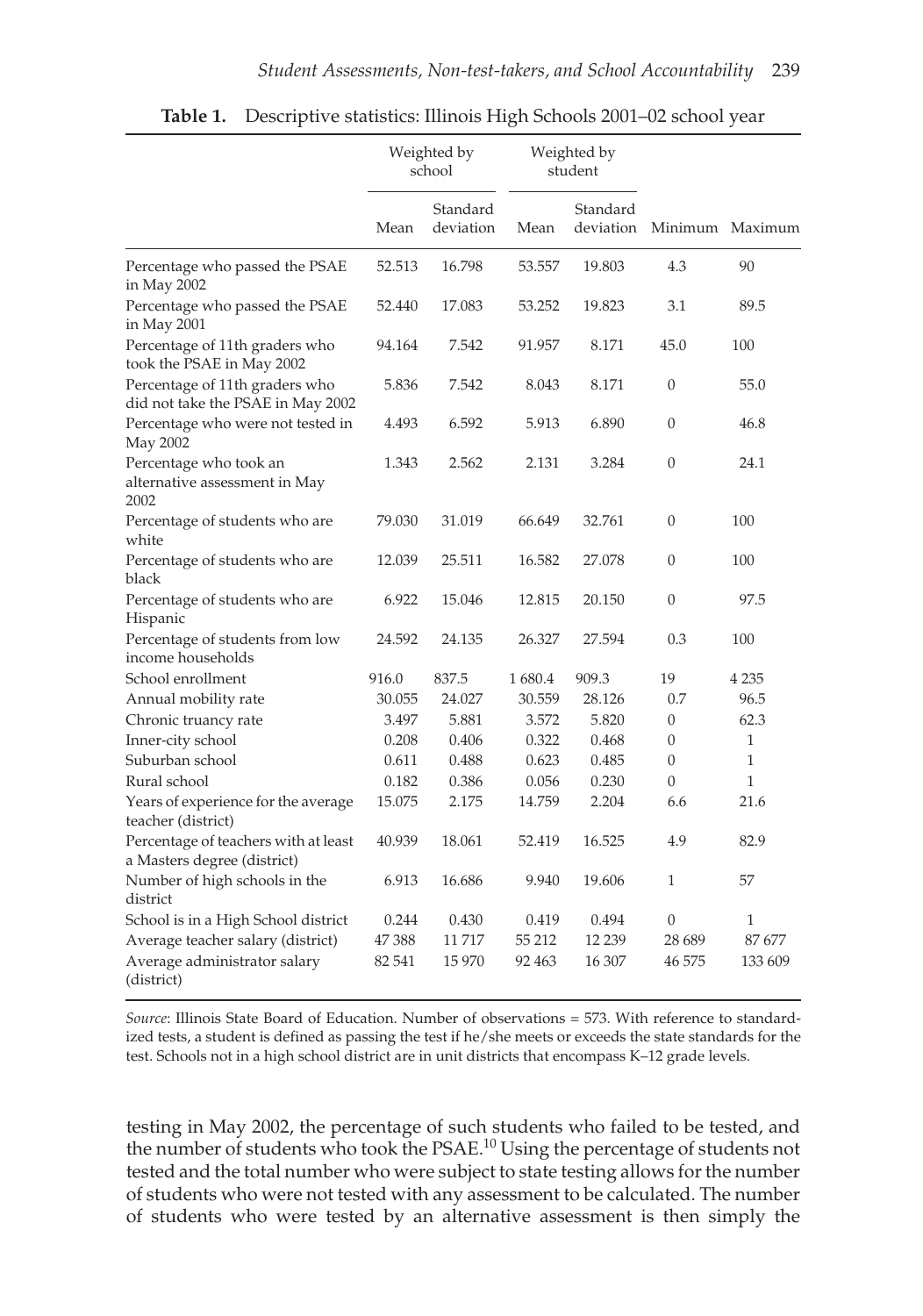|                                                                     | Weighted by<br>school |                       |        | Weighted by<br>student |                |                 |
|---------------------------------------------------------------------|-----------------------|-----------------------|--------|------------------------|----------------|-----------------|
|                                                                     | Mean                  | Standard<br>deviation | Mean   | Standard<br>deviation  |                | Minimum Maximum |
| Percentage who passed the PSAE<br>in May 2002                       | 52.513                | 16.798                | 53.557 | 19.803                 | 4.3            | 90              |
| Percentage who passed the PSAE<br>in May 2001                       | 52.440                | 17.083                | 53.252 | 19.823                 | 3.1            | 89.5            |
| Percentage of 11th graders who<br>took the PSAE in May 2002         | 94.164                | 7.542                 | 91.957 | 8.171                  | 45.0           | 100             |
| Percentage of 11th graders who<br>did not take the PSAE in May 2002 | 5.836                 | 7.542                 | 8.043  | 8.171                  | $\theta$       | 55.0            |
| Percentage who were not tested in<br>May 2002                       | 4.493                 | 6.592                 | 5.913  | 6.890                  | $\theta$       | 46.8            |
| Percentage who took an<br>alternative assessment in May<br>2002     | 1.343                 | 2.562                 | 2.131  | 3.284                  | $\overline{0}$ | 24.1            |
| Percentage of students who are<br>white                             | 79.030                | 31.019                | 66.649 | 32.761                 | $\theta$       | 100             |
| Percentage of students who are<br>black                             | 12.039                | 25.511                | 16.582 | 27.078                 | $\theta$       | 100             |
| Percentage of students who are<br>Hispanic                          | 6.922                 | 15.046                | 12.815 | 20.150                 | $\theta$       | 97.5            |
| Percentage of students from low<br>income households                | 24.592                | 24.135                | 26.327 | 27.594                 | 0.3            | 100             |
| School enrollment                                                   | 916.0                 | 837.5                 | 1680.4 | 909.3                  | 19             | 4 2 3 5         |
| Annual mobility rate                                                | 30.055                | 24.027                | 30.559 | 28.126                 | 0.7            | 96.5            |
| Chronic truancy rate                                                | 3.497                 | 5.881                 | 3.572  | 5.820                  | $\overline{0}$ | 62.3            |
| Inner-city school                                                   | 0.208                 | 0.406                 | 0.322  | 0.468                  | 0              | 1               |
| Suburban school                                                     | 0.611                 | 0.488                 | 0.623  | 0.485                  | $\overline{0}$ | 1               |
| Rural school                                                        | 0.182                 | 0.386                 | 0.056  | 0.230                  | $\theta$       | 1               |
| Years of experience for the average<br>teacher (district)           | 15.075                | 2.175                 | 14.759 | 2.204                  | 6.6            | 21.6            |
| Percentage of teachers with at least<br>a Masters degree (district) | 40.939                | 18.061                | 52.419 | 16.525                 | 4.9            | 82.9            |
| Number of high schools in the<br>district                           | 6.913                 | 16.686                | 9.940  | 19.606                 | $\mathbf{1}$   | 57              |
| School is in a High School district                                 | 0.244                 | 0.430                 | 0.419  | 0.494                  | $\theta$       | 1               |
| Average teacher salary (district)                                   | 47 388                | 11717                 | 55 212 | 12 2 39                | 28 689         | 87 677          |
| Average administrator salary<br>(district)                          | 82 541                | 15 970                | 92463  | 16 307                 | 46 575         | 133 609         |

**Table 1.** Descriptive statistics: Illinois High Schools 2001–02 school year

*Source*: Illinois State Board of Education. Number of observations = 573. With reference to standardized tests, a student is defined as passing the test if he/she meets or exceeds the state standards for the test. Schools not in a high school district are in unit districts that encompass K–12 grade levels.

testing in May 2002, the percentage of such students who failed to be tested, and the number of students who took the PSAE.10 Using the percentage of students not tested and the total number who were subject to state testing allows for the number of students who were not tested with any assessment to be calculated. The number of students who were tested by an alternative assessment is then simply the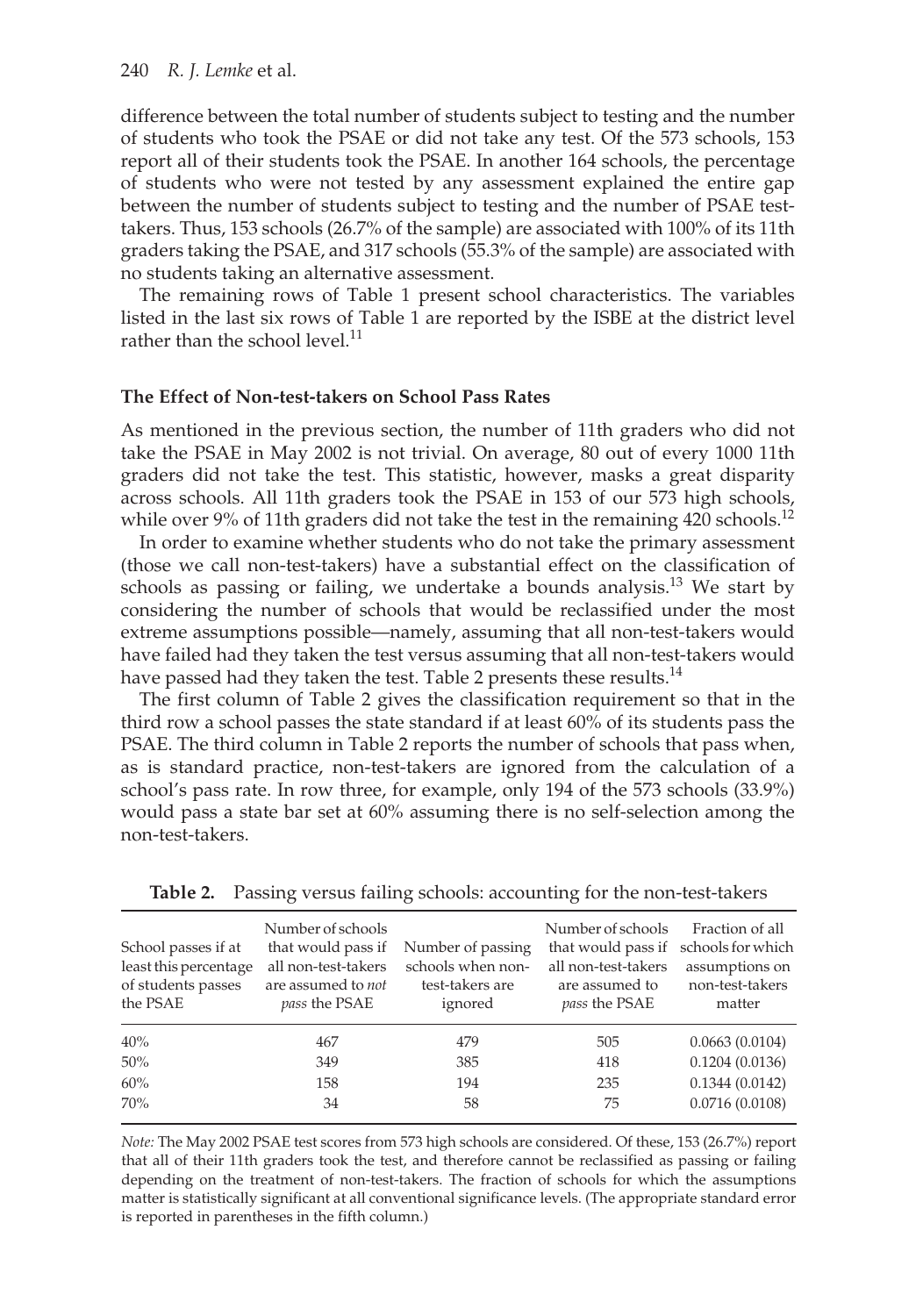difference between the total number of students subject to testing and the number of students who took the PSAE or did not take any test. Of the 573 schools, 153 report all of their students took the PSAE. In another 164 schools, the percentage of students who were not tested by any assessment explained the entire gap between the number of students subject to testing and the number of PSAE testtakers. Thus, 153 schools (26.7% of the sample) are associated with 100% of its 11th graders taking the PSAE, and 317 schools (55.3% of the sample) are associated with no students taking an alternative assessment.

The remaining rows of Table 1 present school characteristics. The variables listed in the last six rows of Table 1 are reported by the ISBE at the district level rather than the school level. $^{11}$ 

#### **The Effect of Non-test-takers on School Pass Rates**

As mentioned in the previous section, the number of 11th graders who did not take the PSAE in May 2002 is not trivial. On average, 80 out of every 1000 11th graders did not take the test. This statistic, however, masks a great disparity across schools. All 11th graders took the PSAE in 153 of our 573 high schools, while over 9% of 11th graders did not take the test in the remaining  $420$  schools.<sup>12</sup>

In order to examine whether students who do not take the primary assessment (those we call non-test-takers) have a substantial effect on the classification of schools as passing or failing, we undertake a bounds analysis.<sup>13</sup> We start by considering the number of schools that would be reclassified under the most extreme assumptions possible—namely, assuming that all non-test-takers would have failed had they taken the test versus assuming that all non-test-takers would have passed had they taken the test. Table 2 presents these results.<sup>14</sup>

The first column of Table 2 gives the classification requirement so that in the third row a school passes the state standard if at least 60% of its students pass the PSAE. The third column in Table 2 reports the number of schools that pass when, as is standard practice, non-test-takers are ignored from the calculation of a school's pass rate. In row three, for example, only 194 of the 573 schools (33.9%) would pass a state bar set at 60% assuming there is no self-selection among the non-test-takers.

| School passes if at<br>least this percentage<br>of students passes<br>the PSAE | Number of schools<br>that would pass if<br>all non-test-takers<br>are assumed to not<br>pass the PSAE | Number of passing<br>schools when non-<br>test-takers are<br>ignored | Number of schools<br>that would pass if<br>all non-test-takers<br>are assumed to<br>pass the PSAE | Fraction of all<br>schools for which<br>assumptions on<br>non-test-takers<br>matter |
|--------------------------------------------------------------------------------|-------------------------------------------------------------------------------------------------------|----------------------------------------------------------------------|---------------------------------------------------------------------------------------------------|-------------------------------------------------------------------------------------|
| 40%                                                                            | 467                                                                                                   | 479                                                                  | 505                                                                                               | 0.0663(0.0104)                                                                      |
| 50%                                                                            | 349                                                                                                   | 385                                                                  | 418                                                                                               | 0.1204(0.0136)                                                                      |
| 60%                                                                            | 158                                                                                                   | 194                                                                  | 235                                                                                               | 0.1344(0.0142)                                                                      |
| 70%                                                                            | 34                                                                                                    | 58                                                                   | 75                                                                                                | 0.0716(0.0108)                                                                      |

**Table 2.** Passing versus failing schools: accounting for the non-test-takers

*Note:* The May 2002 PSAE test scores from 573 high schools are considered. Of these, 153 (26.7%) report that all of their 11th graders took the test, and therefore cannot be reclassified as passing or failing depending on the treatment of non-test-takers. The fraction of schools for which the assumptions matter is statistically significant at all conventional significance levels. (The appropriate standard error is reported in parentheses in the fifth column.)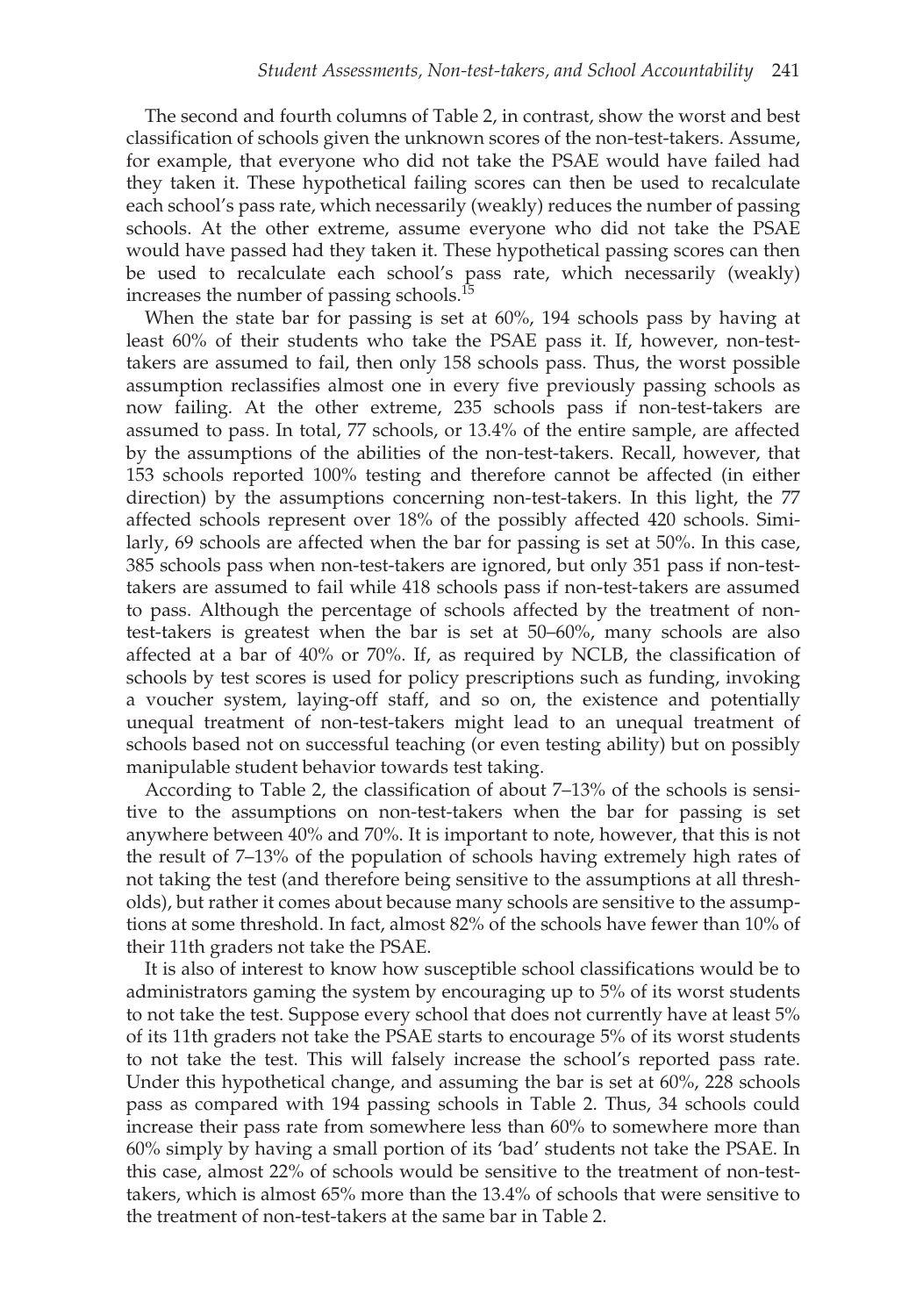The second and fourth columns of Table 2, in contrast, show the worst and best classification of schools given the unknown scores of the non-test-takers. Assume, for example, that everyone who did not take the PSAE would have failed had they taken it. These hypothetical failing scores can then be used to recalculate each school's pass rate, which necessarily (weakly) reduces the number of passing schools. At the other extreme, assume everyone who did not take the PSAE would have passed had they taken it. These hypothetical passing scores can then be used to recalculate each school's pass rate, which necessarily (weakly) increases the number of passing schools.<sup>15</sup>

When the state bar for passing is set at 60%, 194 schools pass by having at least 60% of their students who take the PSAE pass it. If, however, non-testtakers are assumed to fail, then only 158 schools pass. Thus, the worst possible assumption reclassifies almost one in every five previously passing schools as now failing. At the other extreme, 235 schools pass if non-test-takers are assumed to pass. In total, 77 schools, or 13.4% of the entire sample, are affected by the assumptions of the abilities of the non-test-takers. Recall, however, that 153 schools reported 100% testing and therefore cannot be affected (in either direction) by the assumptions concerning non-test-takers. In this light, the 77 affected schools represent over 18% of the possibly affected 420 schools. Similarly, 69 schools are affected when the bar for passing is set at 50%. In this case, 385 schools pass when non-test-takers are ignored, but only 351 pass if non-testtakers are assumed to fail while 418 schools pass if non-test-takers are assumed to pass. Although the percentage of schools affected by the treatment of nontest-takers is greatest when the bar is set at 50–60%, many schools are also affected at a bar of 40% or 70%. If, as required by NCLB, the classification of schools by test scores is used for policy prescriptions such as funding, invoking a voucher system, laying-off staff, and so on, the existence and potentially unequal treatment of non-test-takers might lead to an unequal treatment of schools based not on successful teaching (or even testing ability) but on possibly manipulable student behavior towards test taking.

According to Table 2, the classification of about 7–13% of the schools is sensitive to the assumptions on non-test-takers when the bar for passing is set anywhere between 40% and 70%. It is important to note, however, that this is not the result of 7–13% of the population of schools having extremely high rates of not taking the test (and therefore being sensitive to the assumptions at all thresholds), but rather it comes about because many schools are sensitive to the assumptions at some threshold. In fact, almost 82% of the schools have fewer than 10% of their 11th graders not take the PSAE.

It is also of interest to know how susceptible school classifications would be to administrators gaming the system by encouraging up to 5% of its worst students to not take the test. Suppose every school that does not currently have at least 5% of its 11th graders not take the PSAE starts to encourage 5% of its worst students to not take the test. This will falsely increase the school's reported pass rate. Under this hypothetical change, and assuming the bar is set at 60%, 228 schools pass as compared with 194 passing schools in Table 2. Thus, 34 schools could increase their pass rate from somewhere less than 60% to somewhere more than 60% simply by having a small portion of its 'bad' students not take the PSAE. In this case, almost 22% of schools would be sensitive to the treatment of non-testtakers, which is almost 65% more than the 13.4% of schools that were sensitive to the treatment of non-test-takers at the same bar in Table 2.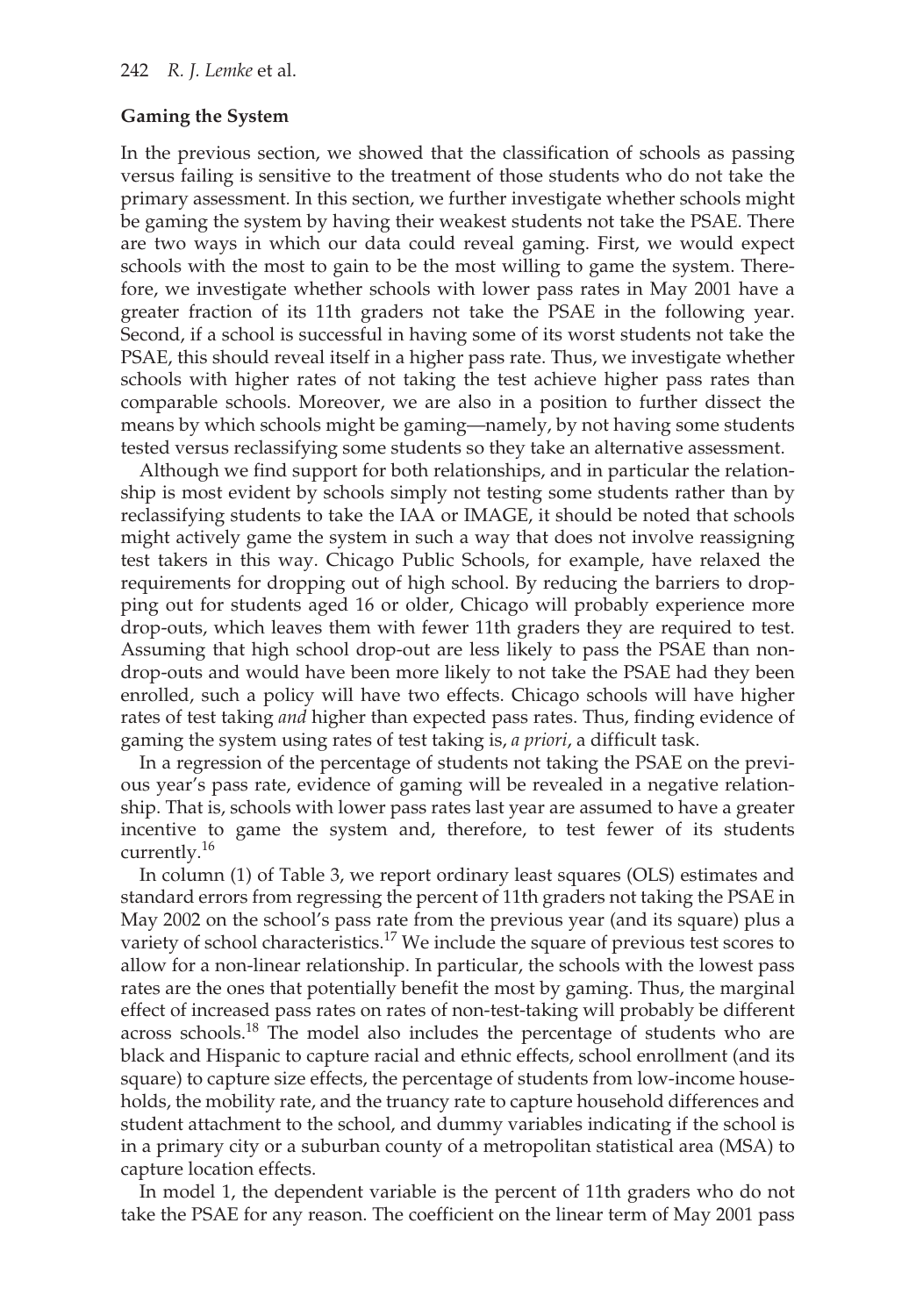#### **Gaming the System**

In the previous section, we showed that the classification of schools as passing versus failing is sensitive to the treatment of those students who do not take the primary assessment. In this section, we further investigate whether schools might be gaming the system by having their weakest students not take the PSAE. There are two ways in which our data could reveal gaming. First, we would expect schools with the most to gain to be the most willing to game the system. Therefore, we investigate whether schools with lower pass rates in May 2001 have a greater fraction of its 11th graders not take the PSAE in the following year. Second, if a school is successful in having some of its worst students not take the PSAE, this should reveal itself in a higher pass rate. Thus, we investigate whether schools with higher rates of not taking the test achieve higher pass rates than comparable schools. Moreover, we are also in a position to further dissect the means by which schools might be gaming—namely, by not having some students tested versus reclassifying some students so they take an alternative assessment.

Although we find support for both relationships, and in particular the relationship is most evident by schools simply not testing some students rather than by reclassifying students to take the IAA or IMAGE, it should be noted that schools might actively game the system in such a way that does not involve reassigning test takers in this way. Chicago Public Schools, for example, have relaxed the requirements for dropping out of high school. By reducing the barriers to dropping out for students aged 16 or older, Chicago will probably experience more drop-outs, which leaves them with fewer 11th graders they are required to test. Assuming that high school drop-out are less likely to pass the PSAE than nondrop-outs and would have been more likely to not take the PSAE had they been enrolled, such a policy will have two effects. Chicago schools will have higher rates of test taking *and* higher than expected pass rates. Thus, finding evidence of gaming the system using rates of test taking is, *a priori*, a difficult task.

In a regression of the percentage of students not taking the PSAE on the previous year's pass rate, evidence of gaming will be revealed in a negative relationship. That is, schools with lower pass rates last year are assumed to have a greater incentive to game the system and, therefore, to test fewer of its students currently.16

In column (1) of Table 3, we report ordinary least squares (OLS) estimates and standard errors from regressing the percent of 11th graders not taking the PSAE in May 2002 on the school's pass rate from the previous year (and its square) plus a variety of school characteristics.<sup>17</sup> We include the square of previous test scores to allow for a non-linear relationship. In particular, the schools with the lowest pass rates are the ones that potentially benefit the most by gaming. Thus, the marginal effect of increased pass rates on rates of non-test-taking will probably be different across schools.<sup>18</sup> The model also includes the percentage of students who are black and Hispanic to capture racial and ethnic effects, school enrollment (and its square) to capture size effects, the percentage of students from low-income households, the mobility rate, and the truancy rate to capture household differences and student attachment to the school, and dummy variables indicating if the school is in a primary city or a suburban county of a metropolitan statistical area (MSA) to capture location effects.

In model 1, the dependent variable is the percent of 11th graders who do not take the PSAE for any reason. The coefficient on the linear term of May 2001 pass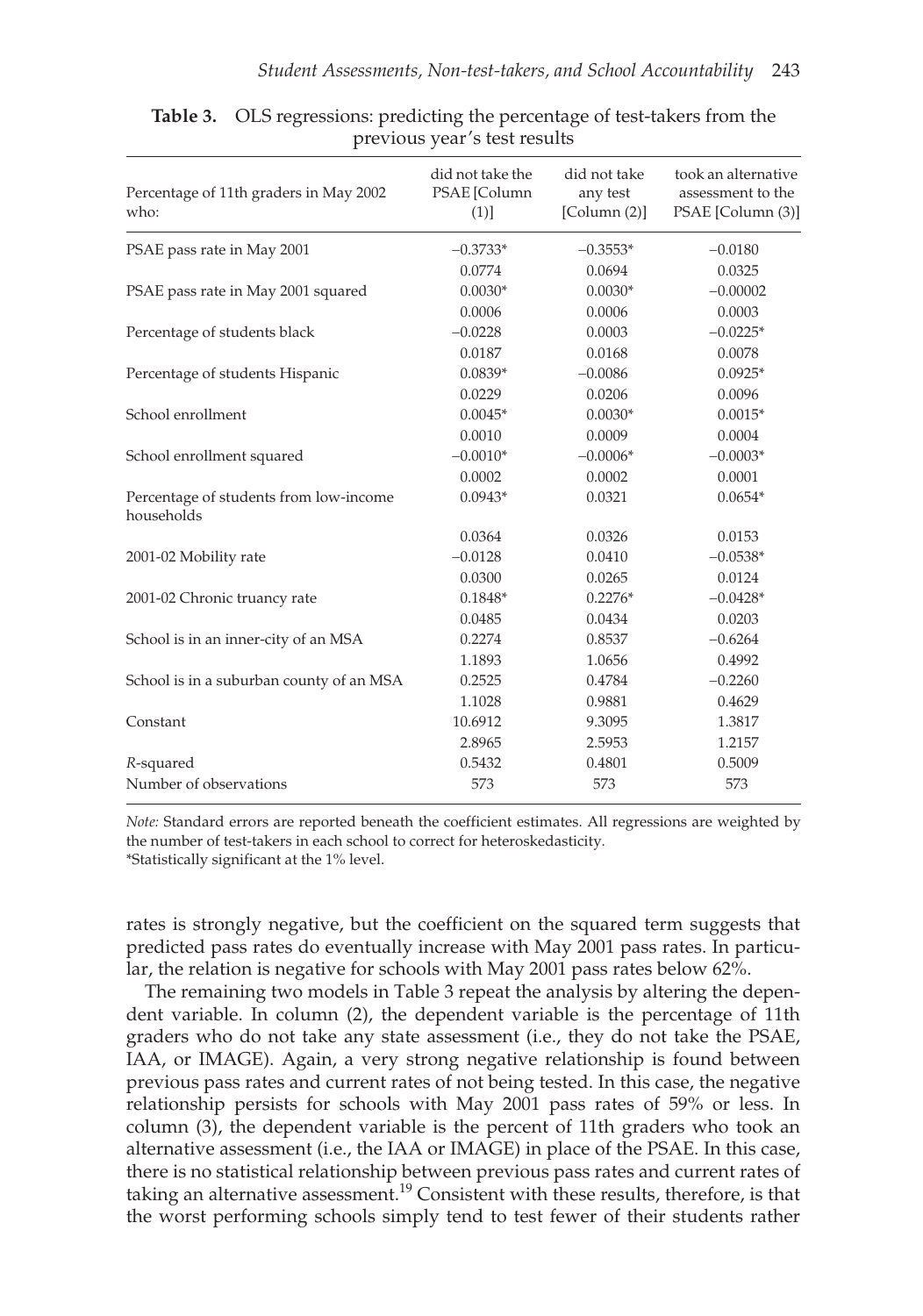| Percentage of 11th graders in May 2002<br>who:       | did not take the<br>PSAE [Column<br>$(1)$ ] | did not take<br>any test<br>[Column (2)] | took an alternative<br>assessment to the<br>PSAE [Column (3)] |
|------------------------------------------------------|---------------------------------------------|------------------------------------------|---------------------------------------------------------------|
| PSAE pass rate in May 2001                           | $-0.3733*$                                  | $-0.3553*$                               | $-0.0180$                                                     |
|                                                      | 0.0774                                      | 0.0694                                   | 0.0325                                                        |
| PSAE pass rate in May 2001 squared                   | $0.0030*$                                   | $0.0030*$                                | $-0.00002$                                                    |
|                                                      | 0.0006                                      | 0.0006                                   | 0.0003                                                        |
| Percentage of students black                         | $-0.0228$                                   | 0.0003                                   | $-0.0225*$                                                    |
|                                                      | 0.0187                                      | 0.0168                                   | 0.0078                                                        |
| Percentage of students Hispanic                      | $0.0839*$                                   | $-0.0086$                                | $0.0925*$                                                     |
|                                                      | 0.0229                                      | 0.0206                                   | 0.0096                                                        |
| School enrollment                                    | $0.0045*$                                   | $0.0030*$                                | $0.0015*$                                                     |
|                                                      | 0.0010                                      | 0.0009                                   | 0.0004                                                        |
| School enrollment squared                            | $-0.0010*$                                  | $-0.0006*$                               | $-0.0003*$                                                    |
|                                                      | 0.0002                                      | 0.0002                                   | 0.0001                                                        |
| Percentage of students from low-income<br>households | $0.0943*$                                   | 0.0321                                   | $0.0654*$                                                     |
|                                                      | 0.0364                                      | 0.0326                                   | 0.0153                                                        |
| 2001-02 Mobility rate                                | $-0.0128$                                   | 0.0410                                   | $-0.0538*$                                                    |
|                                                      | 0.0300                                      | 0.0265                                   | 0.0124                                                        |
| 2001-02 Chronic truancy rate                         | $0.1848*$                                   | $0.2276*$                                | $-0.0428*$                                                    |
|                                                      | 0.0485                                      | 0.0434                                   | 0.0203                                                        |
| School is in an inner-city of an MSA                 | 0.2274                                      | 0.8537                                   | $-0.6264$                                                     |
|                                                      | 1.1893                                      | 1.0656                                   | 0.4992                                                        |
| School is in a suburban county of an MSA             | 0.2525                                      | 0.4784                                   | $-0.2260$                                                     |
|                                                      | 1.1028                                      | 0.9881                                   | 0.4629                                                        |
| Constant                                             | 10.6912                                     | 9.3095                                   | 1.3817                                                        |
|                                                      | 2.8965                                      | 2.5953                                   | 1.2157                                                        |
| R-squared                                            | 0.5432                                      | 0.4801                                   | 0.5009                                                        |
| Number of observations                               | 573                                         | 573                                      | 573                                                           |

**Table 3.** OLS regressions: predicting the percentage of test-takers from the previous year's test results

*Note:* Standard errors are reported beneath the coefficient estimates. All regressions are weighted by the number of test-takers in each school to correct for heteroskedasticity. \*Statistically significant at the 1% level.

rates is strongly negative, but the coefficient on the squared term suggests that predicted pass rates do eventually increase with May 2001 pass rates. In particular, the relation is negative for schools with May 2001 pass rates below 62%.

The remaining two models in Table 3 repeat the analysis by altering the dependent variable. In column (2), the dependent variable is the percentage of 11th graders who do not take any state assessment (i.e., they do not take the PSAE, IAA, or IMAGE). Again, a very strong negative relationship is found between previous pass rates and current rates of not being tested. In this case, the negative relationship persists for schools with May 2001 pass rates of 59% or less. In column (3), the dependent variable is the percent of 11th graders who took an alternative assessment (i.e., the IAA or IMAGE) in place of the PSAE. In this case, there is no statistical relationship between previous pass rates and current rates of taking an alternative assessment.19 Consistent with these results, therefore, is that the worst performing schools simply tend to test fewer of their students rather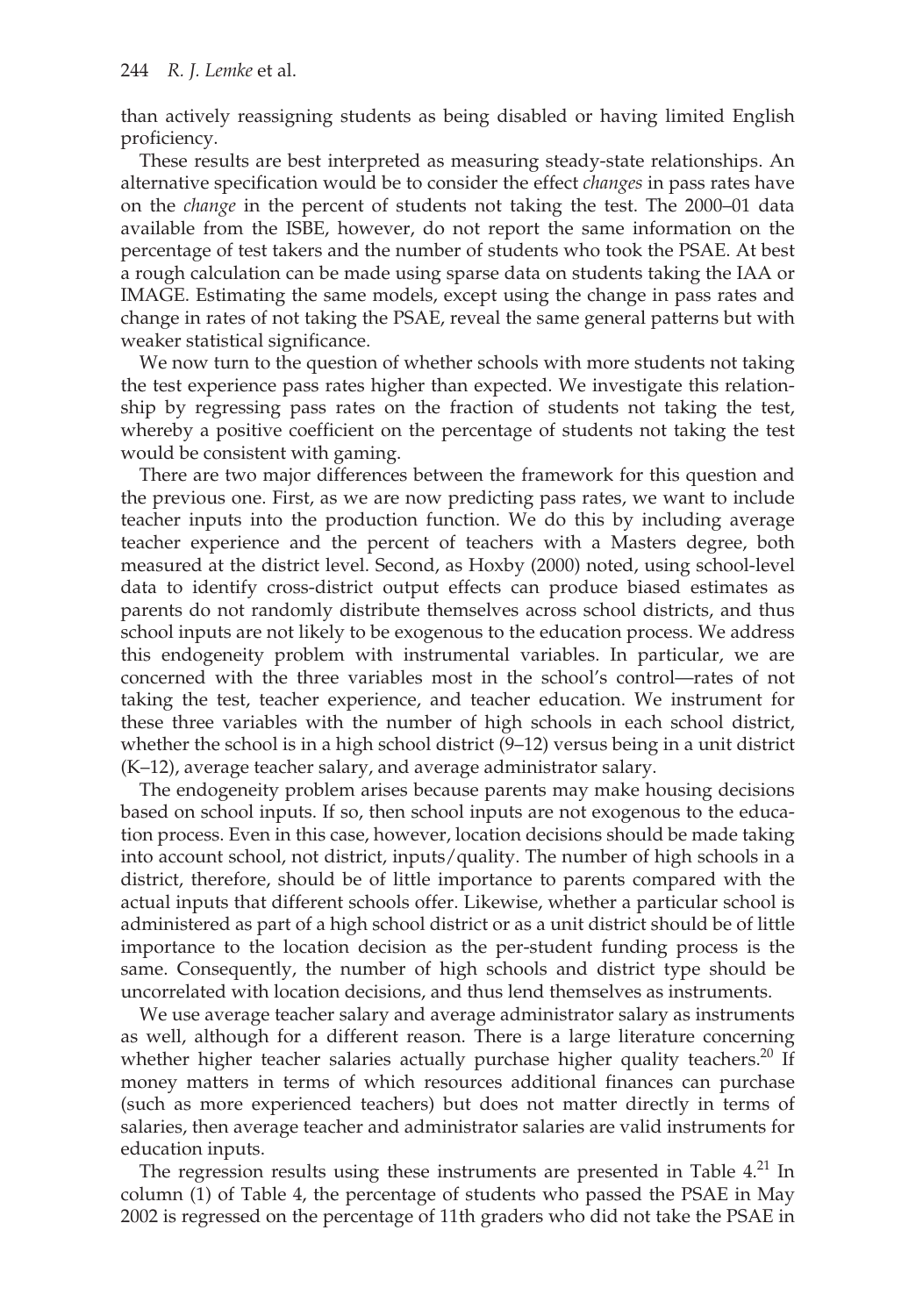than actively reassigning students as being disabled or having limited English proficiency.

These results are best interpreted as measuring steady-state relationships. An alternative specification would be to consider the effect *changes* in pass rates have on the *change* in the percent of students not taking the test. The 2000–01 data available from the ISBE, however, do not report the same information on the percentage of test takers and the number of students who took the PSAE. At best a rough calculation can be made using sparse data on students taking the IAA or IMAGE. Estimating the same models, except using the change in pass rates and change in rates of not taking the PSAE, reveal the same general patterns but with weaker statistical significance.

We now turn to the question of whether schools with more students not taking the test experience pass rates higher than expected. We investigate this relationship by regressing pass rates on the fraction of students not taking the test, whereby a positive coefficient on the percentage of students not taking the test would be consistent with gaming.

There are two major differences between the framework for this question and the previous one. First, as we are now predicting pass rates, we want to include teacher inputs into the production function. We do this by including average teacher experience and the percent of teachers with a Masters degree, both measured at the district level. Second, as Hoxby (2000) noted, using school-level data to identify cross-district output effects can produce biased estimates as parents do not randomly distribute themselves across school districts, and thus school inputs are not likely to be exogenous to the education process. We address this endogeneity problem with instrumental variables. In particular, we are concerned with the three variables most in the school's control—rates of not taking the test, teacher experience, and teacher education. We instrument for these three variables with the number of high schools in each school district, whether the school is in a high school district (9–12) versus being in a unit district (K–12), average teacher salary, and average administrator salary.

The endogeneity problem arises because parents may make housing decisions based on school inputs. If so, then school inputs are not exogenous to the education process. Even in this case, however, location decisions should be made taking into account school, not district, inputs/quality. The number of high schools in a district, therefore, should be of little importance to parents compared with the actual inputs that different schools offer. Likewise, whether a particular school is administered as part of a high school district or as a unit district should be of little importance to the location decision as the per-student funding process is the same. Consequently, the number of high schools and district type should be uncorrelated with location decisions, and thus lend themselves as instruments.

We use average teacher salary and average administrator salary as instruments as well, although for a different reason. There is a large literature concerning whether higher teacher salaries actually purchase higher quality teachers.<sup>20</sup> If money matters in terms of which resources additional finances can purchase (such as more experienced teachers) but does not matter directly in terms of salaries, then average teacher and administrator salaries are valid instruments for education inputs.

The regression results using these instruments are presented in Table 4.<sup>21</sup> In column (1) of Table 4, the percentage of students who passed the PSAE in May 2002 is regressed on the percentage of 11th graders who did not take the PSAE in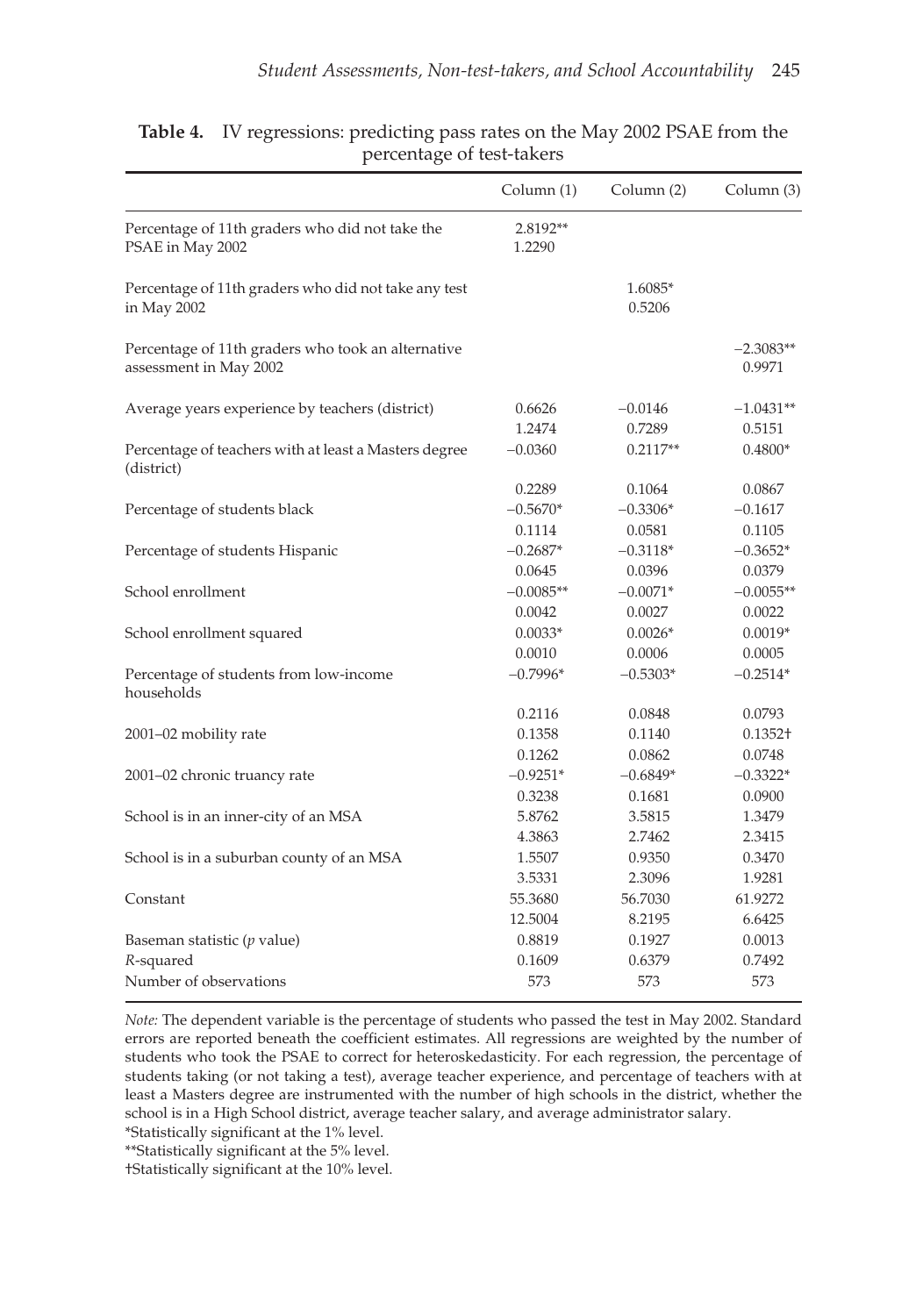|                                                                              | Column (1)         | Column (2)          | Column (3)            |
|------------------------------------------------------------------------------|--------------------|---------------------|-----------------------|
| Percentage of 11th graders who did not take the<br>PSAE in May 2002          | 2.8192**<br>1.2290 |                     |                       |
| Percentage of 11th graders who did not take any test<br>in May 2002          |                    | $1.6085*$<br>0.5206 |                       |
| Percentage of 11th graders who took an alternative<br>assessment in May 2002 |                    |                     | $-2.3083**$<br>0.9971 |
| Average years experience by teachers (district)                              | 0.6626             | $-0.0146$           | $-1.0431**$           |
|                                                                              | 1.2474             | 0.7289              | 0.5151                |
| Percentage of teachers with at least a Masters degree<br>(district)          | $-0.0360$          | $0.2117**$          | $0.4800*$             |
|                                                                              | 0.2289             | 0.1064              | 0.0867                |
| Percentage of students black                                                 | $-0.5670*$         | $-0.3306*$          | $-0.1617$             |
|                                                                              | 0.1114             | 0.0581              | 0.1105                |
| Percentage of students Hispanic                                              | $-0.2687*$         | $-0.3118*$          | $-0.3652*$            |
|                                                                              | 0.0645             | 0.0396              | 0.0379                |
| School enrollment                                                            | $-0.0085**$        | $-0.0071*$          | $-0.0055**$           |
|                                                                              | 0.0042             | 0.0027              | 0.0022                |
| School enrollment squared                                                    | $0.0033*$          | $0.0026*$           | $0.0019*$             |
|                                                                              | 0.0010             | 0.0006              | 0.0005                |
| Percentage of students from low-income<br>households                         | $-0.7996*$         | $-0.5303*$          | $-0.2514*$            |
|                                                                              | 0.2116             | 0.0848              | 0.0793                |
| 2001-02 mobility rate                                                        | 0.1358             | 0.1140              | $0.1352 +$            |
|                                                                              | 0.1262             | 0.0862              | 0.0748                |
| 2001-02 chronic truancy rate                                                 | $-0.9251*$         | $-0.6849*$          | $-0.3322*$            |
|                                                                              | 0.3238             | 0.1681              | 0.0900                |
| School is in an inner-city of an MSA                                         | 5.8762             | 3.5815              | 1.3479                |
|                                                                              | 4.3863             | 2.7462              | 2.3415                |
| School is in a suburban county of an MSA                                     | 1.5507             | 0.9350              | 0.3470                |
|                                                                              | 3.5331             | 2.3096              | 1.9281                |
| Constant                                                                     | 55.3680            | 56.7030             | 61.9272               |
|                                                                              | 12.5004            | 8.2195              | 6.6425                |
| Baseman statistic (p value)                                                  | 0.8819             | 0.1927              | 0.0013                |
| R-squared                                                                    | 0.1609             | 0.6379              | 0.7492                |
| Number of observations                                                       | 573                | 573                 | 573                   |

### **Table 4.** IV regressions: predicting pass rates on the May 2002 PSAE from the percentage of test-takers

*Note:* The dependent variable is the percentage of students who passed the test in May 2002. Standard errors are reported beneath the coefficient estimates. All regressions are weighted by the number of students who took the PSAE to correct for heteroskedasticity. For each regression, the percentage of students taking (or not taking a test), average teacher experience, and percentage of teachers with at least a Masters degree are instrumented with the number of high schools in the district, whether the school is in a High School district, average teacher salary, and average administrator salary.

\*Statistically significant at the 1% level.

\*\*Statistically significant at the 5% level.

†Statistically significant at the 10% level.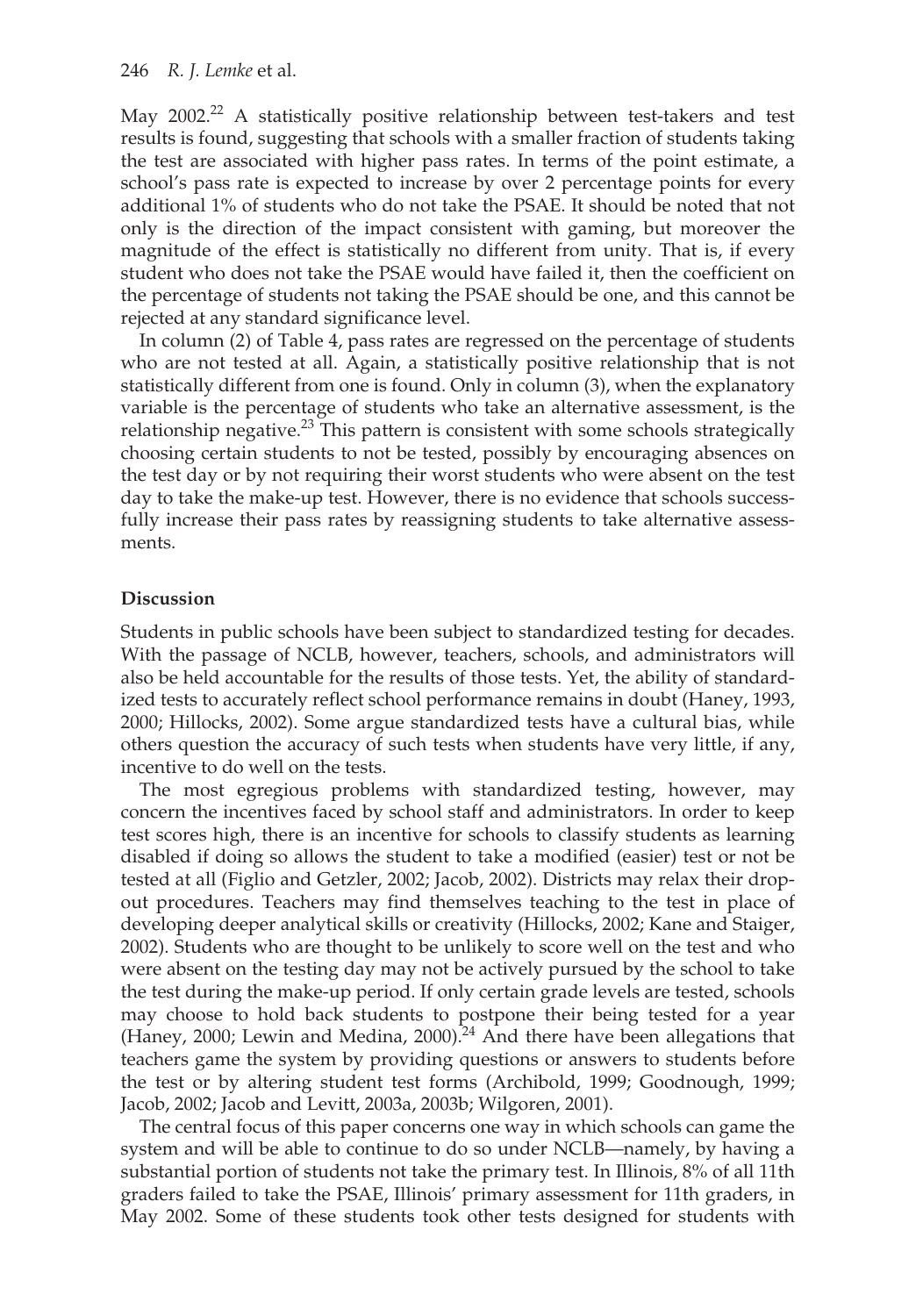May 2002.<sup>22</sup> A statistically positive relationship between test-takers and test results is found, suggesting that schools with a smaller fraction of students taking the test are associated with higher pass rates. In terms of the point estimate, a school's pass rate is expected to increase by over 2 percentage points for every additional 1% of students who do not take the PSAE. It should be noted that not only is the direction of the impact consistent with gaming, but moreover the magnitude of the effect is statistically no different from unity. That is, if every student who does not take the PSAE would have failed it, then the coefficient on the percentage of students not taking the PSAE should be one, and this cannot be rejected at any standard significance level.

In column (2) of Table 4, pass rates are regressed on the percentage of students who are not tested at all. Again, a statistically positive relationship that is not statistically different from one is found. Only in column (3), when the explanatory variable is the percentage of students who take an alternative assessment, is the relationship negative. $^{23}$  This pattern is consistent with some schools strategically choosing certain students to not be tested, possibly by encouraging absences on the test day or by not requiring their worst students who were absent on the test day to take the make-up test. However, there is no evidence that schools successfully increase their pass rates by reassigning students to take alternative assessments.

#### **Discussion**

Students in public schools have been subject to standardized testing for decades. With the passage of NCLB, however, teachers, schools, and administrators will also be held accountable for the results of those tests. Yet, the ability of standardized tests to accurately reflect school performance remains in doubt (Haney, 1993, 2000; Hillocks, 2002). Some argue standardized tests have a cultural bias, while others question the accuracy of such tests when students have very little, if any, incentive to do well on the tests.

The most egregious problems with standardized testing, however, may concern the incentives faced by school staff and administrators. In order to keep test scores high, there is an incentive for schools to classify students as learning disabled if doing so allows the student to take a modified (easier) test or not be tested at all (Figlio and Getzler, 2002; Jacob, 2002). Districts may relax their dropout procedures. Teachers may find themselves teaching to the test in place of developing deeper analytical skills or creativity (Hillocks, 2002; Kane and Staiger, 2002). Students who are thought to be unlikely to score well on the test and who were absent on the testing day may not be actively pursued by the school to take the test during the make-up period. If only certain grade levels are tested, schools may choose to hold back students to postpone their being tested for a year (Haney, 2000; Lewin and Medina, 2000).<sup>24</sup> And there have been allegations that teachers game the system by providing questions or answers to students before the test or by altering student test forms (Archibold, 1999; Goodnough, 1999; Jacob, 2002; Jacob and Levitt, 2003a, 2003b; Wilgoren, 2001).

The central focus of this paper concerns one way in which schools can game the system and will be able to continue to do so under NCLB—namely, by having a substantial portion of students not take the primary test. In Illinois, 8% of all 11th graders failed to take the PSAE, Illinois' primary assessment for 11th graders, in May 2002. Some of these students took other tests designed for students with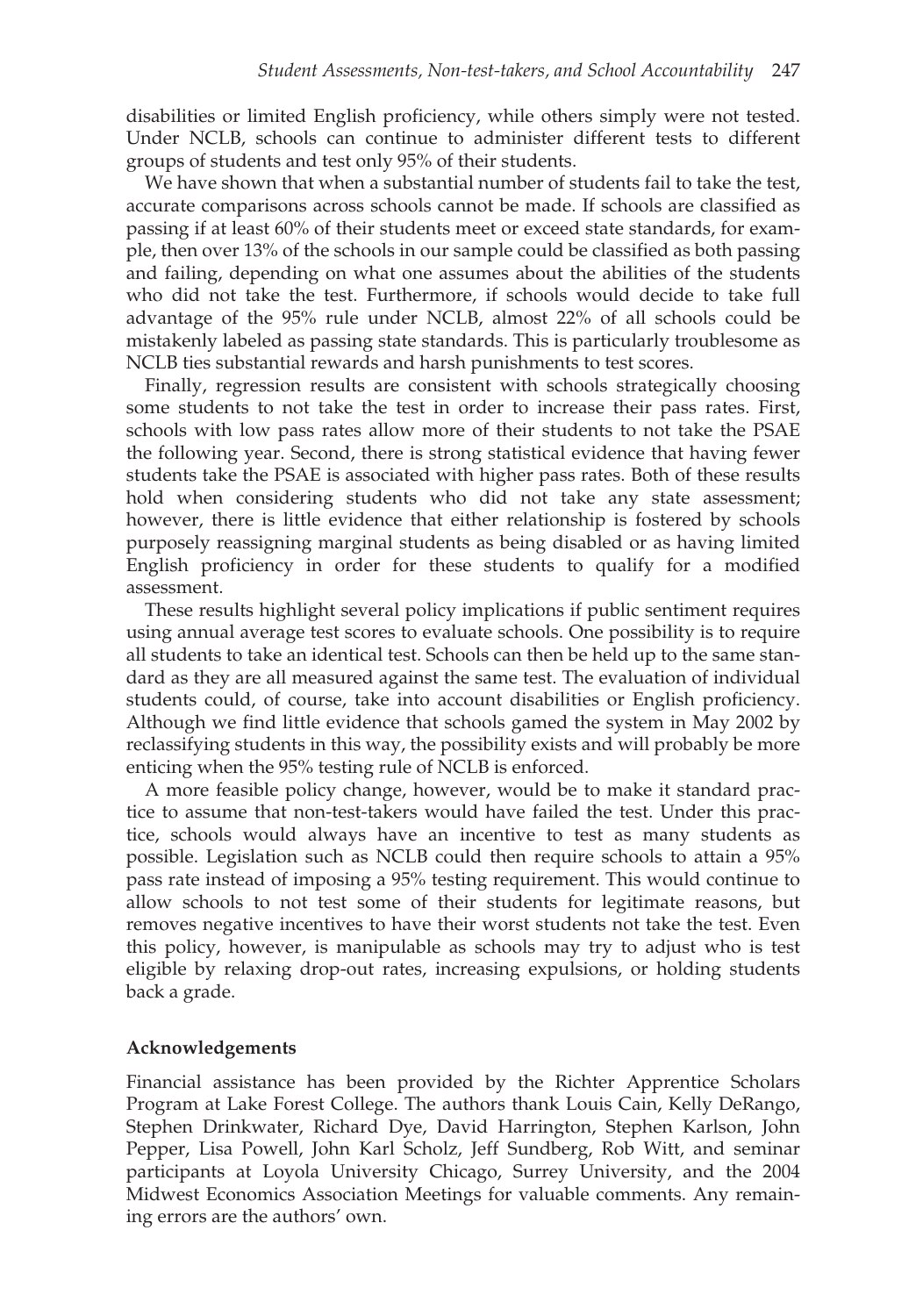disabilities or limited English proficiency, while others simply were not tested. Under NCLB, schools can continue to administer different tests to different groups of students and test only 95% of their students.

We have shown that when a substantial number of students fail to take the test, accurate comparisons across schools cannot be made. If schools are classified as passing if at least 60% of their students meet or exceed state standards, for example, then over 13% of the schools in our sample could be classified as both passing and failing, depending on what one assumes about the abilities of the students who did not take the test. Furthermore, if schools would decide to take full advantage of the 95% rule under NCLB, almost 22% of all schools could be mistakenly labeled as passing state standards. This is particularly troublesome as NCLB ties substantial rewards and harsh punishments to test scores.

Finally, regression results are consistent with schools strategically choosing some students to not take the test in order to increase their pass rates. First, schools with low pass rates allow more of their students to not take the PSAE the following year. Second, there is strong statistical evidence that having fewer students take the PSAE is associated with higher pass rates. Both of these results hold when considering students who did not take any state assessment; however, there is little evidence that either relationship is fostered by schools purposely reassigning marginal students as being disabled or as having limited English proficiency in order for these students to qualify for a modified assessment.

These results highlight several policy implications if public sentiment requires using annual average test scores to evaluate schools. One possibility is to require all students to take an identical test. Schools can then be held up to the same standard as they are all measured against the same test. The evaluation of individual students could, of course, take into account disabilities or English proficiency. Although we find little evidence that schools gamed the system in May 2002 by reclassifying students in this way, the possibility exists and will probably be more enticing when the 95% testing rule of NCLB is enforced.

A more feasible policy change, however, would be to make it standard practice to assume that non-test-takers would have failed the test. Under this practice, schools would always have an incentive to test as many students as possible. Legislation such as NCLB could then require schools to attain a 95% pass rate instead of imposing a 95% testing requirement. This would continue to allow schools to not test some of their students for legitimate reasons, but removes negative incentives to have their worst students not take the test. Even this policy, however, is manipulable as schools may try to adjust who is test eligible by relaxing drop-out rates, increasing expulsions, or holding students back a grade.

## **Acknowledgements**

Financial assistance has been provided by the Richter Apprentice Scholars Program at Lake Forest College. The authors thank Louis Cain, Kelly DeRango, Stephen Drinkwater, Richard Dye, David Harrington, Stephen Karlson, John Pepper, Lisa Powell, John Karl Scholz, Jeff Sundberg, Rob Witt, and seminar participants at Loyola University Chicago, Surrey University, and the 2004 Midwest Economics Association Meetings for valuable comments. Any remaining errors are the authors' own.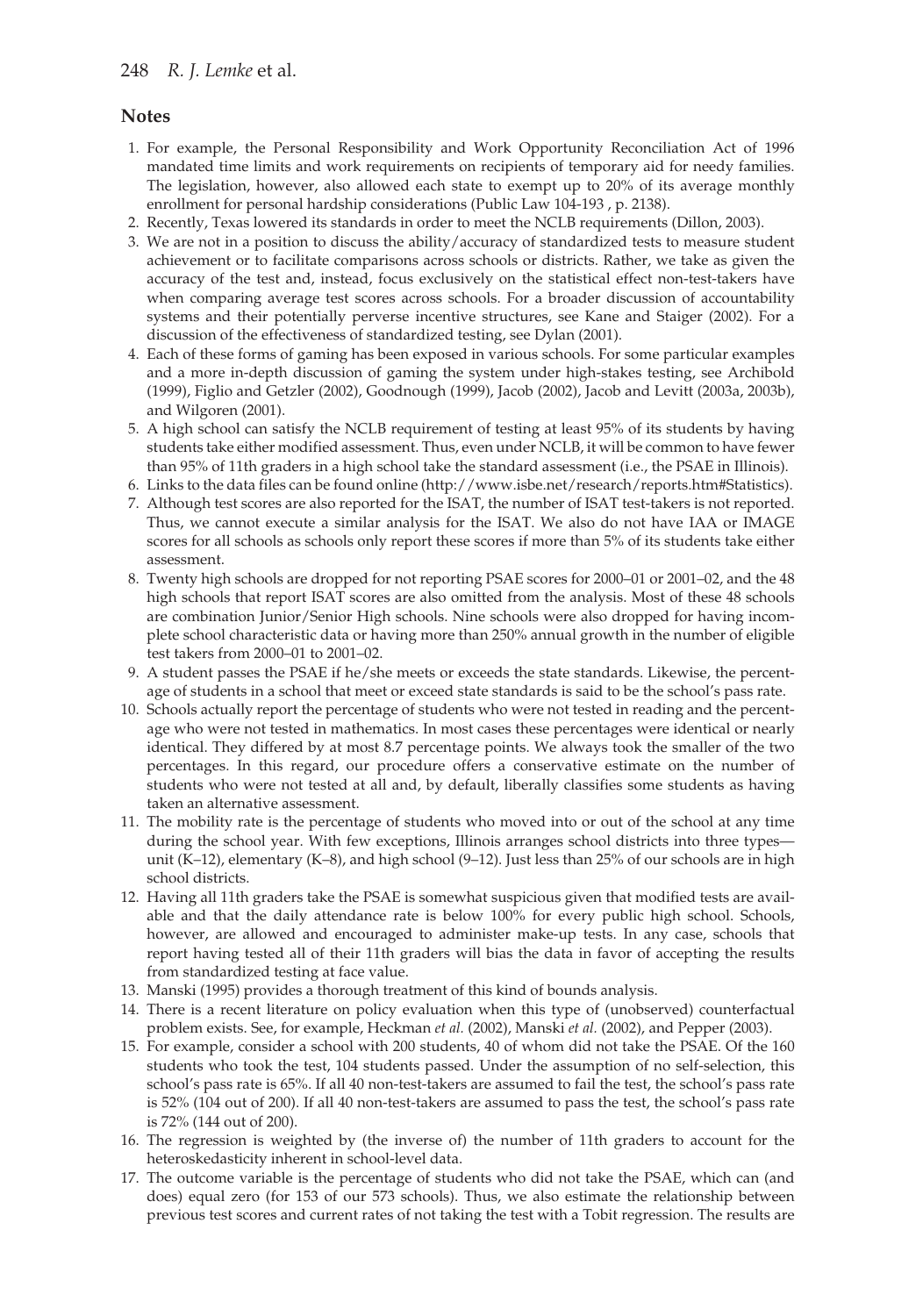#### **Notes**

- 1. For example, the Personal Responsibility and Work Opportunity Reconciliation Act of 1996 mandated time limits and work requirements on recipients of temporary aid for needy families. The legislation, however, also allowed each state to exempt up to 20% of its average monthly enrollment for personal hardship considerations (Public Law 104-193 , p. 2138).
- 2. Recently, Texas lowered its standards in order to meet the NCLB requirements (Dillon, 2003).
- 3. We are not in a position to discuss the ability/accuracy of standardized tests to measure student achievement or to facilitate comparisons across schools or districts. Rather, we take as given the accuracy of the test and, instead, focus exclusively on the statistical effect non-test-takers have when comparing average test scores across schools. For a broader discussion of accountability systems and their potentially perverse incentive structures, see Kane and Staiger (2002). For a discussion of the effectiveness of standardized testing, see Dylan (2001).
- 4. Each of these forms of gaming has been exposed in various schools. For some particular examples and a more in-depth discussion of gaming the system under high-stakes testing, see Archibold (1999), Figlio and Getzler (2002), Goodnough (1999), Jacob (2002), Jacob and Levitt (2003a, 2003b), and Wilgoren (2001).
- 5. A high school can satisfy the NCLB requirement of testing at least 95% of its students by having students take either modified assessment. Thus, even under NCLB, it will be common to have fewer than 95% of 11th graders in a high school take the standard assessment (i.e., the PSAE in Illinois).
- 6. Links to the data files can be found online (http://www.isbe.net/research/reports.htm#Statistics).
- 7. Although test scores are also reported for the ISAT, the number of ISAT test-takers is not reported. Thus, we cannot execute a similar analysis for the ISAT. We also do not have IAA or IMAGE scores for all schools as schools only report these scores if more than 5% of its students take either assessment.
- 8. Twenty high schools are dropped for not reporting PSAE scores for 2000–01 or 2001–02, and the 48 high schools that report ISAT scores are also omitted from the analysis. Most of these 48 schools are combination Junior/Senior High schools. Nine schools were also dropped for having incomplete school characteristic data or having more than 250% annual growth in the number of eligible test takers from 2000–01 to 2001–02.
- 9. A student passes the PSAE if he/she meets or exceeds the state standards. Likewise, the percentage of students in a school that meet or exceed state standards is said to be the school's pass rate.
- 10. Schools actually report the percentage of students who were not tested in reading and the percentage who were not tested in mathematics. In most cases these percentages were identical or nearly identical. They differed by at most 8.7 percentage points. We always took the smaller of the two percentages. In this regard, our procedure offers a conservative estimate on the number of students who were not tested at all and, by default, liberally classifies some students as having taken an alternative assessment.
- 11. The mobility rate is the percentage of students who moved into or out of the school at any time during the school year. With few exceptions, Illinois arranges school districts into three types unit (K–12), elementary (K–8), and high school (9–12). Just less than 25% of our schools are in high school districts.
- 12. Having all 11th graders take the PSAE is somewhat suspicious given that modified tests are available and that the daily attendance rate is below 100% for every public high school. Schools, however, are allowed and encouraged to administer make-up tests. In any case, schools that report having tested all of their 11th graders will bias the data in favor of accepting the results from standardized testing at face value.
- 13. Manski (1995) provides a thorough treatment of this kind of bounds analysis.
- 14. There is a recent literature on policy evaluation when this type of (unobserved) counterfactual problem exists. See, for example, Heckman *et al.* (2002), Manski *et al.* (2002), and Pepper (2003).
- 15. For example, consider a school with 200 students, 40 of whom did not take the PSAE. Of the 160 students who took the test, 104 students passed. Under the assumption of no self-selection, this school's pass rate is 65%. If all 40 non-test-takers are assumed to fail the test, the school's pass rate is 52% (104 out of 200). If all 40 non-test-takers are assumed to pass the test, the school's pass rate is 72% (144 out of 200).
- 16. The regression is weighted by (the inverse of) the number of 11th graders to account for the heteroskedasticity inherent in school-level data.
- 17. The outcome variable is the percentage of students who did not take the PSAE, which can (and does) equal zero (for 153 of our 573 schools). Thus, we also estimate the relationship between previous test scores and current rates of not taking the test with a Tobit regression. The results are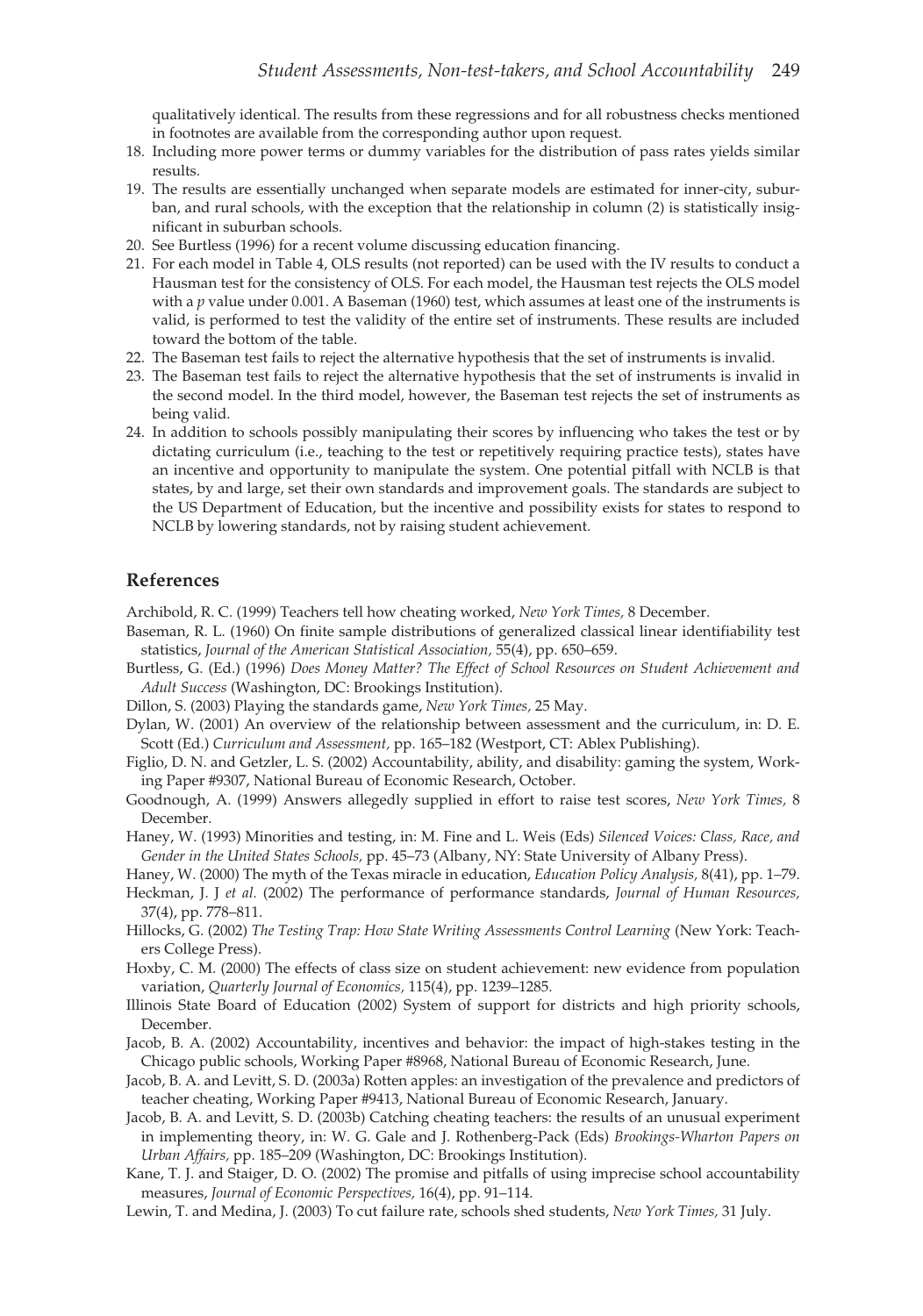qualitatively identical. The results from these regressions and for all robustness checks mentioned in footnotes are available from the corresponding author upon request.

- 18. Including more power terms or dummy variables for the distribution of pass rates yields similar results.
- 19. The results are essentially unchanged when separate models are estimated for inner-city, suburban, and rural schools, with the exception that the relationship in column (2) is statistically insignificant in suburban schools.
- 20. See Burtless (1996) for a recent volume discussing education financing.
- 21. For each model in Table 4, OLS results (not reported) can be used with the IV results to conduct a Hausman test for the consistency of OLS. For each model, the Hausman test rejects the OLS model with a *p* value under 0.001. A Baseman (1960) test, which assumes at least one of the instruments is valid, is performed to test the validity of the entire set of instruments. These results are included toward the bottom of the table.
- 22. The Baseman test fails to reject the alternative hypothesis that the set of instruments is invalid.
- 23. The Baseman test fails to reject the alternative hypothesis that the set of instruments is invalid in the second model. In the third model, however, the Baseman test rejects the set of instruments as being valid.
- 24. In addition to schools possibly manipulating their scores by influencing who takes the test or by dictating curriculum (i.e., teaching to the test or repetitively requiring practice tests), states have an incentive and opportunity to manipulate the system. One potential pitfall with NCLB is that states, by and large, set their own standards and improvement goals. The standards are subject to the US Department of Education, but the incentive and possibility exists for states to respond to NCLB by lowering standards, not by raising student achievement.

#### **References**

Archibold, R. C. (1999) Teachers tell how cheating worked, *New York Times,* 8 December.

- Baseman, R. L. (1960) On finite sample distributions of generalized classical linear identifiability test statistics, *Journal of the American Statistical Association,* 55(4), pp. 650–659.
- Burtless, G. (Ed.) (1996) *Does Money Matter? The Effect of School Resources on Student Achievement and Adult Success* (Washington, DC: Brookings Institution).
- Dillon, S. (2003) Playing the standards game, *New York Times,* 25 May.
- Dylan, W. (2001) An overview of the relationship between assessment and the curriculum, in: D. E. Scott (Ed.) *Curriculum and Assessment,* pp. 165–182 (Westport, CT: Ablex Publishing).
- Figlio, D. N. and Getzler, L. S. (2002) Accountability, ability, and disability: gaming the system, Working Paper #9307, National Bureau of Economic Research, October.
- Goodnough, A. (1999) Answers allegedly supplied in effort to raise test scores, *New York Times,* 8 December.

Haney, W. (1993) Minorities and testing, in: M. Fine and L. Weis (Eds) *Silenced Voices: Class, Race, and Gender in the United States Schools,* pp. 45–73 (Albany, NY: State University of Albany Press).

- Haney, W. (2000) The myth of the Texas miracle in education, *Education Policy Analysis,* 8(41), pp. 1–79.
- Heckman, J. J *et al.* (2002) The performance of performance standards, *Journal of Human Resources,* 37(4), pp. 778–811.
- Hillocks, G. (2002) *The Testing Trap: How State Writing Assessments Control Learning* (New York: Teachers College Press).
- Hoxby, C. M. (2000) The effects of class size on student achievement: new evidence from population variation, *Quarterly Journal of Economics,* 115(4), pp. 1239–1285.
- Illinois State Board of Education (2002) System of support for districts and high priority schools, December.
- Jacob, B. A. (2002) Accountability, incentives and behavior: the impact of high-stakes testing in the Chicago public schools, Working Paper #8968, National Bureau of Economic Research, June.
- Jacob, B. A. and Levitt, S. D. (2003a) Rotten apples: an investigation of the prevalence and predictors of teacher cheating, Working Paper #9413, National Bureau of Economic Research, January.
- Jacob, B. A. and Levitt, S. D. (2003b) Catching cheating teachers: the results of an unusual experiment in implementing theory, in: W. G. Gale and J. Rothenberg-Pack (Eds) *Brookings-Wharton Papers on Urban Affairs,* pp. 185–209 (Washington, DC: Brookings Institution).
- Kane, T. J. and Staiger, D. O. (2002) The promise and pitfalls of using imprecise school accountability measures, *Journal of Economic Perspectives,* 16(4), pp. 91–114.
- Lewin, T. and Medina, J. (2003) To cut failure rate, schools shed students, *New York Times,* 31 July.